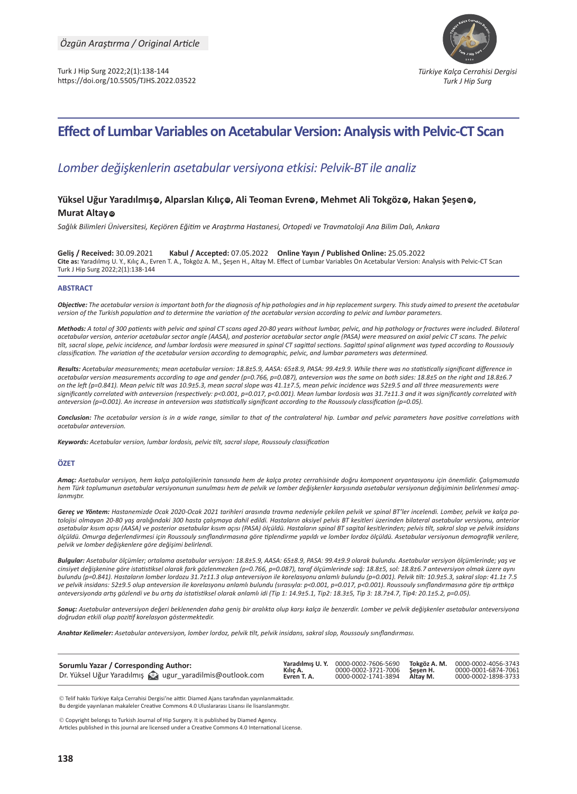

# **Effect of Lumbar Variables on Acetabular Version: Analysis with Pelvic-CT Scan**

## *Lomber değişkenlerin asetabular versiyona etkisi: Pelvik-BT ile analiz*

## **Yüksel Uğur Yaradılmış, Alparslan Kılıç, Ali Teoman Evren, Mehmet Ali Tokgöz, Hakan Şeşen, ID ID ID ID IDMurat Altay** @

*Sağlık Bilimleri Üniversitesi, Keçiören Eğitim ve Araştırma Hastanesi, Ortopedi ve Travmatoloji Ana Bilim Dalı, Ankara*

**Geliş / Received:** 30.09.2021 **Kabul / Accepted:** 07.05.2022 **Online Yayın / Published Online:** 25.05.2022 **Cite as:** Yaradılmış U. Y., Kılıç A., Evren T. A., Tokgöz A. M., Şeşen H., Altay M. Effect of Lumbar Variables On Acetabular Version: Analysis with Pelvic-CT Scan Turk J Hip Surg 2022;2(1):138-144

#### **ABSTRACT**

*Objective: The acetabular version is important both for the diagnosis of hip pathologies and in hip replacement surgery. This study aimed to present the acetabular version of the Turkish population and to determine the variation of the acetabular version according to pelvic and lumbar parameters.*

*Methods: A total of 300 patients with pelvic and spinal CT scans aged 20-80 years without lumbar, pelvic, and hip pathology or fractures were included. Bilateral acetabular version, anterior acetabular sector angle (AASA), and posterior acetabular sector angle (PASA) were measured on axial pelvic CT scans. The pelvic tilt, sacral slope, pelvic incidence, and lumbar lordosis were measured in spinal CT sagittal sections. Sagittal spinal alignment was typed according to Roussouly classification. The variation of the acetabular version according to demographic, pelvic, and lumbar parameters was determined.*

*Results: Acetabular measurements; mean acetabular version: 18.8±5.9, AASA: 65±8.9, PASA: 99.4±9.9. While there was no statistically significant difference in acetabular version measurements according to age and gender (p=0.766, p=0.087), anteversion was the same on both sides: 18.8±5 on the right and 18.8±6.7 on the left (p=0.841). Mean pelvic tilt was 10.9±5.3, mean sacral slope was 41.1±7.5, mean pelvic incidence was 52±9.5 and all three measurements were significantly correlated with anteversion (respectively: p<0.001, p=0.017, p<0.001). Mean lumbar lordosis was 31.7±11.3 and it was significantly correlated with anteversion (p=0.001). An increase in anteversion was statistically significant according to the Roussouly classification (p=0.05).*

*Conclusion: The acetabular version is in a wide range, similar to that of the contralateral hip. Lumbar and pelvic parameters have positive correlations with acetabular anteversion.*

*Keywords: Acetabular version, lumbar lordosis, pelvic tilt, sacral slope, Roussouly classification*

#### **ÖZET**

*Amaç: Asetabular versiyon, hem kalça patolojilerinin tanısında hem de kalça protez cerrahisinde doğru komponent oryantasyonu için önemlidir. Çalışmamızda hem Türk toplumunun asetabular versiyonunun sunulması hem de pelvik ve lomber değişkenler karşısında asetabular versiyonun değişiminin belirlenmesi amaçlanmıştır.*

*Gereç ve Yöntem: Hastanemizde Ocak 2020-Ocak 2021 tarihleri arasında travma nedeniyle çekilen pelvik ve spinal BT'ler incelendi. Lomber, pelvik ve kalça patolojisi olmayan 20-80 yaş aralığındaki 300 hasta çalışmaya dahil edildi. Hastaların aksiyel pelvis BT kesitleri üzerinden bilateral asetabular versiyonu, anterior asetabular kısım açısı (AASA) ve posterior asetabular kısım açısı (PASA) ölçüldü. Hastaların spinal BT sagital kesitlerinden; pelvis tilt, sakral slop ve pelvik insidans ölçüldü. Omurga değerlendirmesi için Roussouly sınıflandırmasına göre tiplendirme yapıldı ve lomber lordoz ölçüldü. Asetabular versiyonun demografik verilere, pelvik ve lomber değişkenlere göre değişimi belirlendi.*

*Bulgular: Asetabular ölçümler; ortalama asetabular versiyon: 18.8±5.9, AASA: 65±8.9, PASA: 99.4±9.9 olarak bulundu. Asetabular versiyon ölçümlerinde; yaş ve cinsiyet değişkenine göre istatistiksel olarak fark gözlenmezken (p=0.766, p=0.087), taraf ölçümlerinde sağ: 18.8±5, sol: 18.8±6.7 anteversiyon olmak üzere aynı bulundu (p=0.841). Hastaların lomber lordozu 31.7±11.3 olup anteversiyon ile korelasyonu anlamlı bulundu (p=0.001). Pelvik tilt: 10.9±5.3, sakral slop: 41.1± 7.5 ve pelvik insidans: 52±9.5 olup anteversion ile korelasyonu anlamlı bulundu (sırasıyla: p<0.001, p=0.017, p<0.001). Roussouly sınıflandırmasına göre tip arttıkça anteversiyonda artış gözlendi ve bu artış da istatistiksel olarak anlamlı idi (Tip 1: 14.9±5.1, Tip2: 18.3±5, Tip 3: 18.7±4.7, Tip4: 20.1±5.2, p=0.05).*

*Sonuç: Asetabular anteversiyon değeri beklenenden daha geniş bir aralıkta olup karşı kalça ile benzerdir. Lomber ve pelvik değişkenler asetabular anteversiyona doğrudan etkili olup pozitif korelasyon göstermektedir.* 

*Anahtar Kelimeler: Asetabular anteversiyon, lomber lordoz, pelvik tilt, pelvik insidans, sakral slop, Roussouly sınıflandırması.*

| Sorumlu Yazar / Corresponding Author:                    |             | Yaradılmıs U. Y. 0000-0002-7606-5690 | Tokgöz A. M. 0000-0002-4056-3743 |
|----------------------------------------------------------|-------------|--------------------------------------|----------------------------------|
|                                                          | Kılıç A.    | 0000-0002-3721-7006 Sesen H.         | 0000-0001-6874-7061              |
| Dr. Yüksel Uğur Yaradılmış @ ugur_yaradilmis@outlook.com | Evren T. A. | 0000-0002-1741-3894 Altay M.         | 0000-0002-1898-3733              |

 Telif hakkı Türkiye Kalça Cerrahisi Dergisi'ne aittir. Diamed Ajans tarafından yayınlanmaktadır. Bu dergide yayınlanan makaleler Creative Commons 4.0 Uluslararası Lisansı ile lisanslanmıştır.

 Copyright belongs to Turkish Journal of Hip Surgery. It is published by Diamed Agency. Articles published in this journal are licensed under a Creative Commons 4.0 International License.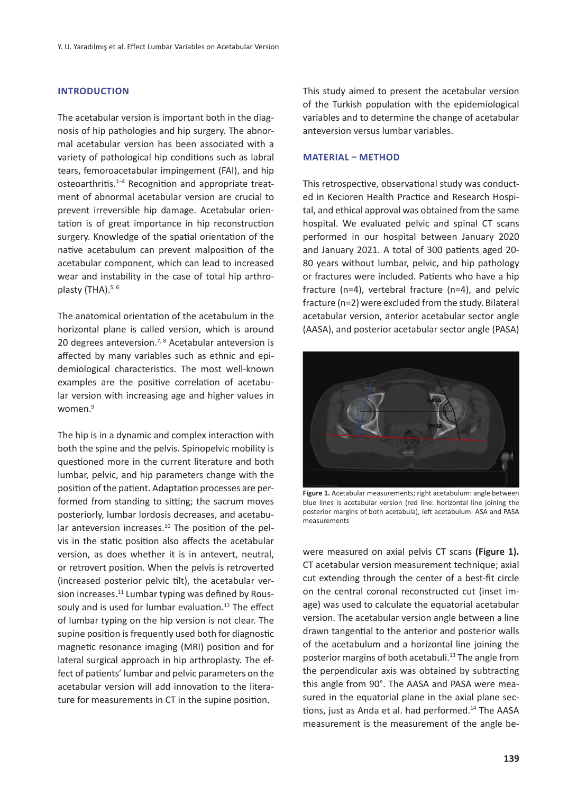#### **INTRODUCTION**

The acetabular version is important both in the diagnosis of hip pathologies and hip surgery. The abnormal acetabular version has been associated with a variety of pathological hip conditions such as labral tears, femoroacetabular impingement (FAI), and hip osteoarthritis.<sup>1-4</sup> Recognition and appropriate treatment of abnormal acetabular version are crucial to prevent irreversible hip damage. Acetabular orientation is of great importance in hip reconstruction surgery. Knowledge of the spatial orientation of the native acetabulum can prevent malposition of the acetabular component, which can lead to increased wear and instability in the case of total hip arthroplasty (THA). $5, 6$ 

The anatomical orientation of the acetabulum in the horizontal plane is called version, which is around 20 degrees anteversion.<sup>7, 8</sup> Acetabular anteversion is affected by many variables such as ethnic and epidemiological characteristics. The most well-known examples are the positive correlation of acetabular version with increasing age and higher values in women.<sup>9</sup>

The hip is in a dynamic and complex interaction with both the spine and the pelvis. Spinopelvic mobility is questioned more in the current literature and both lumbar, pelvic, and hip parameters change with the position of the patient. Adaptation processes are performed from standing to sitting; the sacrum moves posteriorly, lumbar lordosis decreases, and acetabular anteversion increases.<sup>10</sup> The position of the pelvis in the static position also affects the acetabular version, as does whether it is in antevert, neutral, or retrovert position. When the pelvis is retroverted (increased posterior pelvic tilt), the acetabular version increases.<sup>11</sup> Lumbar typing was defined by Roussouly and is used for lumbar evaluation.<sup>12</sup> The effect of lumbar typing on the hip version is not clear. The supine position is frequently used both for diagnostic magnetic resonance imaging (MRI) position and for lateral surgical approach in hip arthroplasty. The effect of patients' lumbar and pelvic parameters on the acetabular version will add innovation to the literature for measurements in CT in the supine position.

This study aimed to present the acetabular version of the Turkish population with the epidemiological variables and to determine the change of acetabular anteversion versus lumbar variables.

#### **MATERIAL – METHOD**

This retrospective, observational study was conducted in Kecioren Health Practice and Research Hospital, and ethical approval was obtained from the same hospital. We evaluated pelvic and spinal CT scans performed in our hospital between January 2020 and January 2021. A total of 300 patients aged 20- 80 years without lumbar, pelvic, and hip pathology or fractures were included. Patients who have a hip fracture (n=4), vertebral fracture (n=4), and pelvic fracture (n=2) were excluded from the study. Bilateral acetabular version, anterior acetabular sector angle (AASA), and posterior acetabular sector angle (PASA)



**Figure 1.** Acetabular measurements; right acetabulum: angle between blue lines is acetabular version (red line: horizontal line joining the posterior margins of both acetabula), left acetabulum: ASA and PASA measurements

were measured on axial pelvis CT scans **(Figure 1).**  CT acetabular version measurement technique; axial cut extending through the center of a best-fit circle on the central coronal reconstructed cut (inset image) was used to calculate the equatorial acetabular version. The acetabular version angle between a line drawn tangential to the anterior and posterior walls of the acetabulum and a horizontal line joining the posterior margins of both acetabuli.<sup>13</sup> The angle from the perpendicular axis was obtained by subtracting this angle from 90°. The AASA and PASA were measured in the equatorial plane in the axial plane sections, just as Anda et al. had performed.<sup>14</sup> The AASA measurement is the measurement of the angle be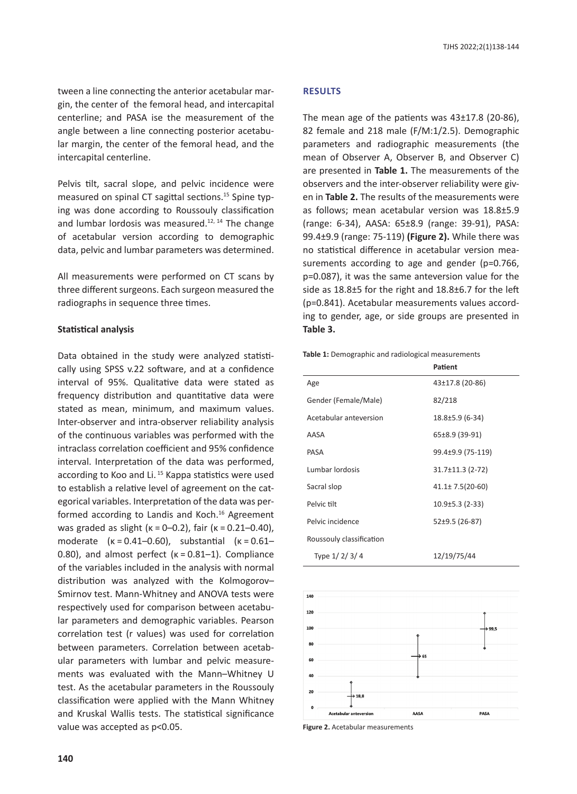tween a line connecting the anterior acetabular margin, the center of the femoral head, and intercapital centerline; and PASA ise the measurement of the angle between a line connecting posterior acetabular margin, the center of the femoral head, and the intercapital centerline.

Pelvis tilt, sacral slope, and pelvic incidence were measured on spinal CT sagittal sections.<sup>15</sup> Spine typing was done according to Roussouly classification and lumbar lordosis was measured. $12, 14$  The change of acetabular version according to demographic data, pelvic and lumbar parameters was determined.

All measurements were performed on CT scans by three different surgeons. Each surgeon measured the radiographs in sequence three times.

#### **Statistical analysis**

Data obtained in the study were analyzed statistically using SPSS v.22 software, and at a confidence interval of 95%. Qualitative data were stated as frequency distribution and quantitative data were stated as mean, minimum, and maximum values. Inter-observer and intra-observer reliability analysis of the continuous variables was performed with the intraclass correlation coefficient and 95% confidence interval. Interpretation of the data was performed, according to Koo and Li.<sup>15</sup> Kappa statistics were used to establish a relative level of agreement on the categorical variables. Interpretation of the data was performed according to Landis and Koch.<sup>16</sup> Agreement was graded as slight (κ = 0–0.2), fair (κ = 0.21–0.40), moderate (κ = 0.41–0.60), substantial (κ = 0.61– 0.80), and almost perfect (κ = 0.81–1). Compliance of the variables included in the analysis with normal distribution was analyzed with the Kolmogorov– Smirnov test. Mann-Whitney and ANOVA tests were respectively used for comparison between acetabular parameters and demographic variables. Pearson correlation test (r values) was used for correlation between parameters. Correlation between acetabular parameters with lumbar and pelvic measurements was evaluated with the Mann–Whitney U test. As the acetabular parameters in the Roussouly classification were applied with the Mann Whitney and Kruskal Wallis tests. The statistical significance value was accepted as p<0.05.

#### **RESULTS**

The mean age of the patients was 43±17.8 (20-86), 82 female and 218 male (F/M:1/2.5). Demographic parameters and radiographic measurements (the mean of Observer A, Observer B, and Observer C) are presented in **Table 1.** The measurements of the observers and the inter-observer reliability were given in **Table 2.** The results of the measurements were as follows; mean acetabular version was 18.8±5.9 (range: 6-34), AASA: 65±8.9 (range: 39-91), PASA: 99.4±9.9 (range: 75-119) **(Figure 2).** While there was no statistical difference in acetabular version measurements according to age and gender (p=0.766, p=0.087), it was the same anteversion value for the side as 18.8±5 for the right and 18.8±6.7 for the left (p=0.841). Acetabular measurements values according to gender, age, or side groups are presented in **Table 3.**

**Table 1:** Demographic and radiological measurements

|                          | Patient                |
|--------------------------|------------------------|
| Age                      | 43±17.8 (20-86)        |
| Gender (Female/Male)     | 82/218                 |
| Acetabular anteversion   | 18.8±5.9 (6-34)        |
| AASA                     | 65±8.9 (39-91)         |
| PASA                     | 99.4±9.9 (75-119)      |
| Lumbar lordosis          | $31.7 \pm 11.3$ (2-72) |
| Sacral slop              | $41.1 \pm 7.5(20-60)$  |
| Pelvic tilt              | $10.9\pm5.3$ (2-33)    |
| Pelvic incidence         | 52±9.5 (26-87)         |
| Roussouly classification |                        |
| Type 1/2/3/4             | 12/19/75/44            |



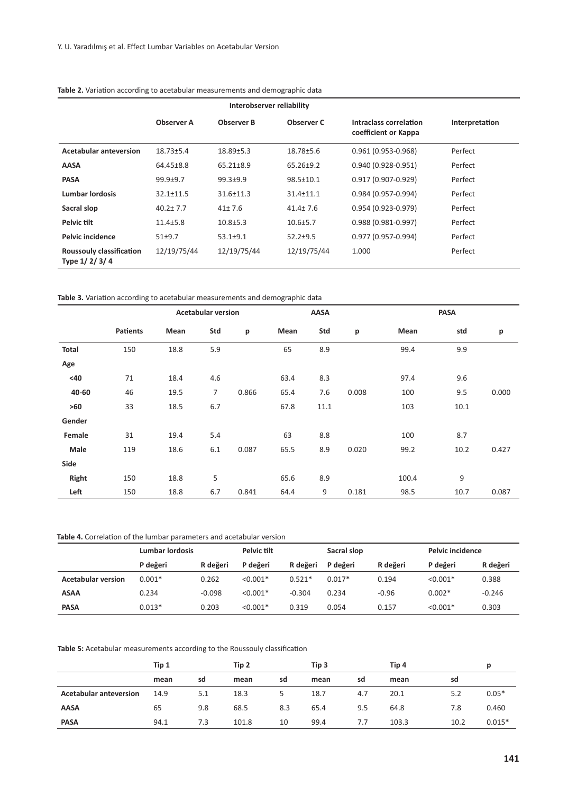| Interobserver reliability                |                   |                   |                 |                                                |                |  |  |  |  |
|------------------------------------------|-------------------|-------------------|-----------------|------------------------------------------------|----------------|--|--|--|--|
|                                          | <b>Observer A</b> | <b>Observer B</b> | Observer C      | Intraclass correlation<br>coefficient or Kappa | Interpretation |  |  |  |  |
| <b>Acetabular anteversion</b>            | $18.73 + 5.4$     | $18.89 + 5.3$     | 18.78±5.6       | $0.961(0.953 - 0.968)$                         | Perfect        |  |  |  |  |
| AASA                                     | 64.45±8.8         | 65.21±8.9         | $65.26 \pm 9.2$ | 0.940 (0.928-0.951)                            | Perfect        |  |  |  |  |
| <b>PASA</b>                              | $99.9 + 9.7$      | $99.3 + 9.9$      | 98.5±10.1       | $0.917(0.907 - 0.929)$                         | Perfect        |  |  |  |  |
| <b>Lumbar lordosis</b>                   | $32.1 \pm 11.5$   | $31.6 \pm 11.3$   | 31.4±11.1       | 0.984 (0.957-0.994)                            | Perfect        |  |  |  |  |
| Sacral slop                              | $40.2 \pm 7.7$    | $41 \pm 7.6$      | $41.4 \pm 7.6$  | $0.954(0.923 - 0.979)$                         | Perfect        |  |  |  |  |
| Pelvic tilt                              | $11.4 + 5.8$      | $10.8 + 5.3$      | $10.6 \pm 5.7$  | $0.988(0.981 - 0.997)$                         | Perfect        |  |  |  |  |
| Pelvic incidence                         | $51+9.7$          | $53.1 + 9.1$      | $52.2 + 9.5$    | 0.977 (0.957-0.994)                            | Perfect        |  |  |  |  |
| Roussouly classification<br>Type 1/2/3/4 | 12/19/75/44       | 12/19/75/44       | 12/19/75/44     | 1.000                                          | Perfect        |  |  |  |  |

**Table 2.** Variation according to acetabular measurements and demographic data

**Table 3.** Variation according to acetabular measurements and demographic data

|        | <b>Acetabular version</b> |      |                |       | AASA |      | PASA  |       |      |       |
|--------|---------------------------|------|----------------|-------|------|------|-------|-------|------|-------|
|        | <b>Patients</b>           | Mean | Std            | p     | Mean | Std  | p     | Mean  | std  | p     |
| Total  | 150                       | 18.8 | 5.9            |       | 65   | 8.9  |       | 99.4  | 9.9  |       |
| Age    |                           |      |                |       |      |      |       |       |      |       |
| <40    | 71                        | 18.4 | 4.6            |       | 63.4 | 8.3  |       | 97.4  | 9.6  |       |
| 40-60  | 46                        | 19.5 | $\overline{7}$ | 0.866 | 65.4 | 7.6  | 0.008 | 100   | 9.5  | 0.000 |
| $>60$  | 33                        | 18.5 | 6.7            |       | 67.8 | 11.1 |       | 103   | 10.1 |       |
| Gender |                           |      |                |       |      |      |       |       |      |       |
| Female | 31                        | 19.4 | 5.4            |       | 63   | 8.8  |       | 100   | 8.7  |       |
| Male   | 119                       | 18.6 | 6.1            | 0.087 | 65.5 | 8.9  | 0.020 | 99.2  | 10.2 | 0.427 |
| Side   |                           |      |                |       |      |      |       |       |      |       |
| Right  | 150                       | 18.8 | 5              |       | 65.6 | 8.9  |       | 100.4 | 9    |       |
| Left   | 150                       | 18.8 | 6.7            | 0.841 | 64.4 | 9    | 0.181 | 98.5  | 10.7 | 0.087 |

#### **Table 4.** Correlation of the lumbar parameters and acetabular version

|                           | <b>Lumbar lordosis</b> |          | Pelvic tilt |          | Sacral slop |          | Pelvic incidence |          |
|---------------------------|------------------------|----------|-------------|----------|-------------|----------|------------------|----------|
|                           | P değeri               | R değeri | P değeri    | R değeri | P değeri    | R değeri | P değeri         | R değeri |
| <b>Acetabular version</b> | $0.001*$               | 0.262    | $< 0.001*$  | $0.521*$ | $0.017*$    | 0.194    | $< 0.001*$       | 0.388    |
| ASAA                      | 0.234                  | $-0.098$ | $< 0.001*$  | $-0.304$ | 0.234       | $-0.96$  | $0.002*$         | $-0.246$ |
| <b>PASA</b>               | $0.013*$               | 0.203    | $< 0.001*$  | 0.319    | 0.054       | 0.157    | $< 0.001*$       | 0.303    |

**Table 5:** Acetabular measurements according to the Roussouly classification

|                               | Tip 1 |     | Tip 2 |     | Tip 3 |     | Tip 4 |      | D        |
|-------------------------------|-------|-----|-------|-----|-------|-----|-------|------|----------|
|                               | mean  | sd  | mean  | sd  | mean  | sd  | mean  | sd   |          |
| <b>Acetabular anteversion</b> | 14.9  | 5.1 | 18.3  |     | 18.7  | 4.7 | 20.1  | 5.2  | $0.05*$  |
| <b>AASA</b>                   | 65    | 9.8 | 68.5  | 8.3 | 65.4  | 9.5 | 64.8  | 7.8  | 0.460    |
| <b>PASA</b>                   | 94.1  | 7.3 | 101.8 | 10  | 99.4  | 7.7 | 103.3 | 10.2 | $0.015*$ |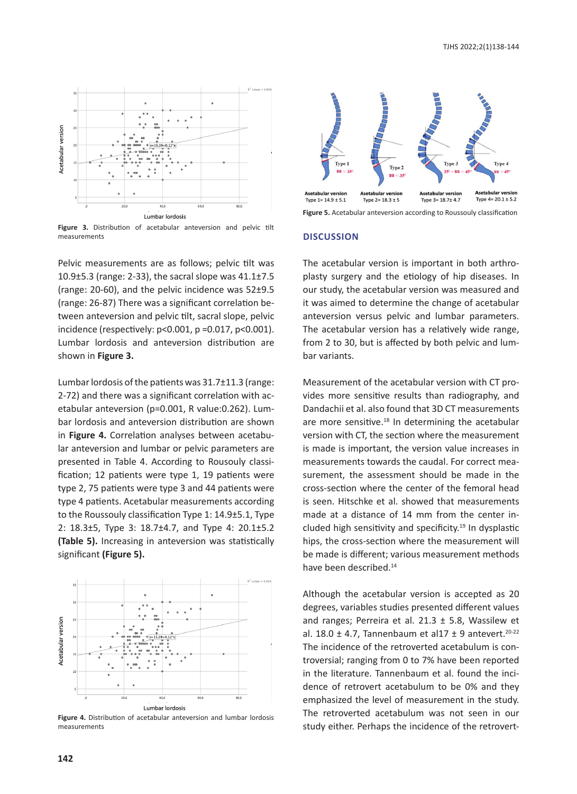

**Figure 3.** Distribution of acetabular anteversion and pelvic tilt measurements

Pelvic measurements are as follows; pelvic tilt was 10.9±5.3 (range: 2-33), the sacral slope was 41.1±7.5 (range: 20-60), and the pelvic incidence was 52±9.5 (range: 26-87) There was a significant correlation between anteversion and pelvic tilt, sacral slope, pelvic incidence (respectively: p<0.001, p =0.017, p<0.001). Lumbar lordosis and anteversion distribution are shown in **Figure 3.**

Lumbar lordosis of the patients was 31.7±11.3 (range: 2-72) and there was a significant correlation with acetabular anteversion (p=0.001, R value:0.262). Lumbar lordosis and anteversion distribution are shown in **Figure 4.** Correlation analyses between acetabular anteversion and lumbar or pelvic parameters are presented in Table 4. According to Rousouly classification; 12 patients were type 1, 19 patients were type 2, 75 patients were type 3 and 44 patients were type 4 patients. Acetabular measurements according to the Roussouly classification Type 1: 14.9±5.1, Type 2: 18.3±5, Type 3: 18.7±4.7, and Type 4: 20.1±5.2 **(Table 5).** Increasing in anteversion was statistically significant **(Figure 5).**



**Figure 4.** Distribution of acetabular anteversion and lumbar lordosis measurements



**Figure 5.** Acetabular anteversion according to Roussouly classification

### **DISCUSSION**

The acetabular version is important in both arthroplasty surgery and the etiology of hip diseases. In our study, the acetabular version was measured and it was aimed to determine the change of acetabular anteversion versus pelvic and lumbar parameters. The acetabular version has a relatively wide range, from 2 to 30, but is affected by both pelvic and lumbar variants.

Measurement of the acetabular version with CT provides more sensitive results than radiography, and Dandachii et al. also found that 3D CT measurements are more sensitive.<sup>18</sup> In determining the acetabular version with CT, the section where the measurement is made is important, the version value increases in measurements towards the caudal. For correct measurement, the assessment should be made in the cross-section where the center of the femoral head is seen. Hitschke et al. showed that measurements made at a distance of 14 mm from the center included high sensitivity and specificity.<sup>19</sup> In dysplastic hips, the cross-section where the measurement will be made is different; various measurement methods have been described.14

Although the acetabular version is accepted as 20 degrees, variables studies presented different values and ranges; Perreira et al.  $21.3 \pm 5.8$ , Wassilew et al. 18.0  $\pm$  4.7, Tannenbaum et al17  $\pm$  9 antevert.<sup>20-22</sup> The incidence of the retroverted acetabulum is controversial; ranging from 0 to 7% have been reported in the literature. Tannenbaum et al. found the incidence of retrovert acetabulum to be 0% and they emphasized the level of measurement in the study. The retroverted acetabulum was not seen in our study either. Perhaps the incidence of the retrovert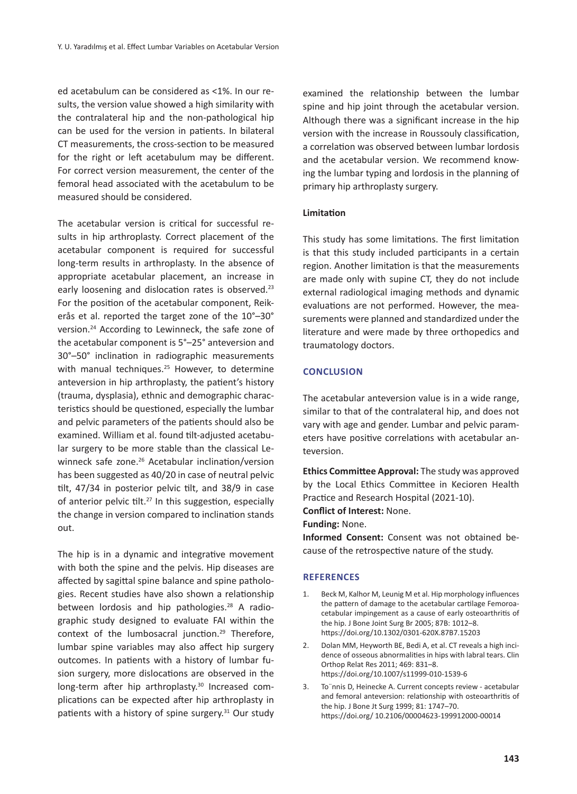ed acetabulum can be considered as <1%. In our results, the version value showed a high similarity with the contralateral hip and the non-pathological hip can be used for the version in patients. In bilateral CT measurements, the cross-section to be measured for the right or left acetabulum may be different. For correct version measurement, the center of the femoral head associated with the acetabulum to be measured should be considered.

The acetabular version is critical for successful results in hip arthroplasty. Correct placement of the acetabular component is required for successful long-term results in arthroplasty. In the absence of appropriate acetabular placement, an increase in early loosening and dislocation rates is observed.<sup>23</sup> For the position of the acetabular component, Reikerås et al. reported the target zone of the 10°–30° version.24 According to Lewinneck, the safe zone of the acetabular component is 5°–25° anteversion and 30°–50° inclination in radiographic measurements with manual techniques.<sup>25</sup> However, to determine anteversion in hip arthroplasty, the patient's history (trauma, dysplasia), ethnic and demographic characteristics should be questioned, especially the lumbar and pelvic parameters of the patients should also be examined. William et al. found tilt-adjusted acetabular surgery to be more stable than the classical Lewinneck safe zone.<sup>26</sup> Acetabular inclination/version has been suggested as 40/20 in case of neutral pelvic tilt, 47/34 in posterior pelvic tilt, and 38/9 in case of anterior pelvic tilt.<sup>27</sup> In this suggestion, especially the change in version compared to inclination stands out.

The hip is in a dynamic and integrative movement with both the spine and the pelvis. Hip diseases are affected by sagittal spine balance and spine pathologies. Recent studies have also shown a relationship between lordosis and hip pathologies.<sup>28</sup> A radiographic study designed to evaluate FAI within the context of the lumbosacral junction.<sup>29</sup> Therefore, lumbar spine variables may also affect hip surgery outcomes. In patients with a history of lumbar fusion surgery, more dislocations are observed in the long-term after hip arthroplasty.<sup>30</sup> Increased complications can be expected after hip arthroplasty in patients with a history of spine surgery.<sup>31</sup> Our study examined the relationship between the lumbar spine and hip joint through the acetabular version. Although there was a significant increase in the hip version with the increase in Roussouly classification, a correlation was observed between lumbar lordosis and the acetabular version. We recommend knowing the lumbar typing and lordosis in the planning of primary hip arthroplasty surgery.

#### **Limitation**

This study has some limitations. The first limitation is that this study included participants in a certain region. Another limitation is that the measurements are made only with supine CT, they do not include external radiological imaging methods and dynamic evaluations are not performed. However, the measurements were planned and standardized under the literature and were made by three orthopedics and traumatology doctors.

### **CONCLUSION**

The acetabular anteversion value is in a wide range, similar to that of the contralateral hip, and does not vary with age and gender. Lumbar and pelvic parameters have positive correlations with acetabular anteversion.

**Ethics Committee Approval:** The study was approved by the Local Ethics Committee in Kecioren Health Practice and Research Hospital (2021-10).

**Conflict of Interest:** None.

**Funding:** None.

**Informed Consent:** Consent was not obtained because of the retrospective nature of the study.

#### **REFERENCES**

- 1. Beck M, Kalhor M, Leunig M et al. Hip morphology influences the pattern of damage to the acetabular cartilage Femoroacetabular impingement as a cause of early osteoarthritis of the hip. J Bone Joint Surg Br 2005; 87B: 1012–8. https://doi.org/10.1302/0301-620X.87B7.15203
- 2. Dolan MM, Heyworth BE, Bedi A, et al. CT reveals a high incidence of osseous abnormalities in hips with labral tears. Clin Orthop Relat Res 2011; 469: 831–8. https://doi.org/10.1007/s11999-010-1539-6
- 3. To¨nnis D, Heinecke A. Current concepts review acetabular and femoral anteversion: relationship with osteoarthritis of the hip. J Bone Jt Surg 1999; 81: 1747–70. https://doi.org/ 10.2106/00004623-199912000-00014